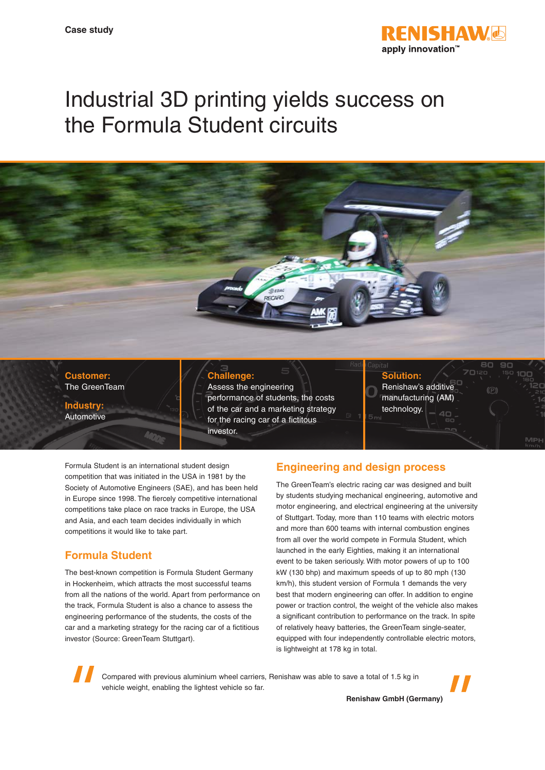

# Industrial 3D printing yields success on the Formula Student circuits



**Industry:** Automotive

#### **Challenge:**

Assess the engineering performance of students, the costs of the car and a marketing strategy for the racing car of a fictitous investor.

na

#### **Solution:** Renishaw's additive

manufacturing (AM) technology.

Formula Student is an international student design competition that was initiated in the USA in 1981 by the Society of Automotive Engineers (SAE), and has been held in Europe since 1998. The fiercely competitive international competitions take place on race tracks in Europe, the USA and Asia, and each team decides individually in which competitions it would like to take part.

# **Formula Student**

The best-known competition is Formula Student Germany in Hockenheim, which attracts the most successful teams from all the nations of the world. Apart from performance on the track, Formula Student is also a chance to assess the engineering performance of the students, the costs of the car and a marketing strategy for the racing car of a fictitious investor (Source: GreenTeam Stuttgart).

# **Engineering and design process**

The GreenTeam's electric racing car was designed and built by students studying mechanical engineering, automotive and motor engineering, and electrical engineering at the university of Stuttgart. Today, more than 110 teams with electric motors and more than 600 teams with internal combustion engines from all over the world compete in Formula Student, which launched in the early Eighties, making it an international event to be taken seriously. With motor powers of up to 100 kW (130 bhp) and maximum speeds of up to 80 mph (130 km/h), this student version of Formula 1 demands the very best that modern engineering can offer. In addition to engine power or traction control, the weight of the vehicle also makes a significant contribution to performance on the track. In spite of relatively heavy batteries, the GreenTeam single-seater, equipped with four independently controllable electric motors, is lightweight at 178 kg in total.

Compared with previous aluminium wheel carriers, Renishaw was able to save a total of 1.5 kg in vehicle weight, enabling the lightest vehicle so far.



**Renishaw GmbH (Germany)**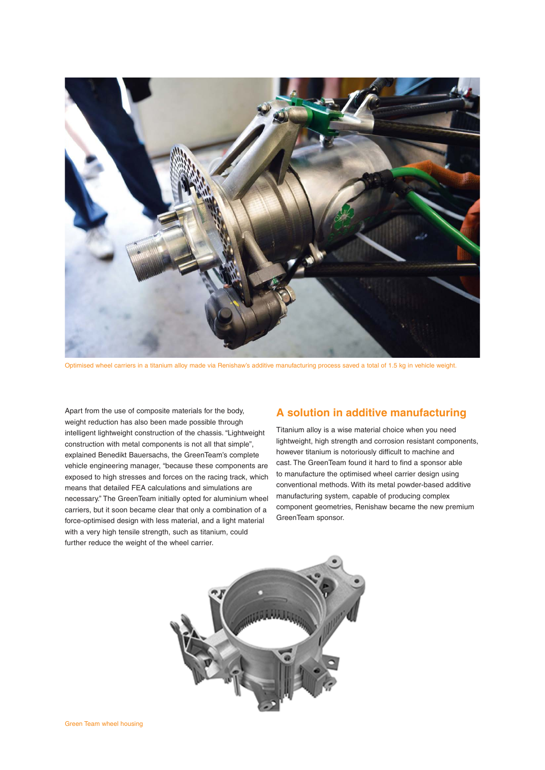

Optimised wheel carriers in a titanium alloy made via Renishaw's additive manufacturing process saved a total of 1.5 kg in vehicle weight.

Apart from the use of composite materials for the body, weight reduction has also been made possible through intelligent lightweight construction of the chassis. "Lightweight construction with metal components is not all that simple", explained Benedikt Bauersachs, the GreenTeam's complete vehicle engineering manager, "because these components are exposed to high stresses and forces on the racing track, which means that detailed FEA calculations and simulations are necessary." The GreenTeam initially opted for aluminium wheel carriers, but it soon became clear that only a combination of a force-optimised design with less material, and a light material with a very high tensile strength, such as titanium, could further reduce the weight of the wheel carrier.

#### **A solution in additive manufacturing**

Titanium alloy is a wise material choice when you need lightweight, high strength and corrosion resistant components, however titanium is notoriously difficult to machine and cast. The GreenTeam found it hard to find a sponsor able to manufacture the optimised wheel carrier design using conventional methods. With its metal powder-based additive manufacturing system, capable of producing complex component geometries, Renishaw became the new premium GreenTeam sponsor.